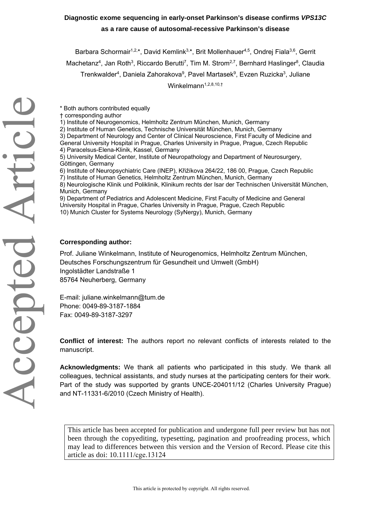## **Diagnostic exome sequencing in early-onset Parkinson's disease confirms** *VPS13C* **as a rare cause of autosomal-recessive Parkinson's disease**

Barbara Schormair<sup>1,2,\*</sup>, David Kemlink<sup>3,\*</sup>, Brit Mollenhauer<sup>4,5</sup>, Ondrej Fiala<sup>3,6</sup>, Gerrit

Machetanz<sup>4</sup>, Jan Roth<sup>3</sup>, Riccardo Berutti<sup>7</sup>, Tim M. Strom<sup>2,7</sup>, Bernhard Haslinger<sup>8</sup>, Claudia

Trenkwalder<sup>4</sup>, Daniela Zahorakova<sup>9</sup>, Pavel Martasek<sup>9</sup>, Evzen Ruzicka<sup>3</sup>, Juliane

Winkelmann $1,2,8,10,1$ 

\* Both authors contributed equally

- † corresponding author
- 1) Institute of Neurogenomics, Helmholtz Zentrum München, Munich, Germany
- 2) Institute of Human Genetics, Technische Universität München, Munich, Germany
- 3) Department of Neurology and Center of Clinical Neuroscience, First Faculty of Medicine and General University Hospital in Prague, Charles University in Prague, Prague, Czech Republic 4) Paracelsus-Elena-Klinik, Kassel, Germany
- 5) University Medical Center, Institute of Neuropathology and Department of Neurosurgery, Göttingen, Germany
- 6) Institute of Neuropsychiatric Care (INEP), Křižíkova 264/22, 186 00, Prague, Czech Republic
- 7) Institute of Human Genetics, Helmholtz Zentrum München, Munich, Germany
- 8) Neurologische Klinik und Poliklinik, Klinikum rechts der Isar der Technischen Universität München, Munich, Germany

9) Department of Pediatrics and Adolescent Medicine, First Faculty of Medicine and General University Hospital in Prague, Charles University in Prague, Prague, Czech Republic 10) Munich Cluster for Systems Neurology (SyNergy), Munich, Germany

## **Corresponding author:**

Prof. Juliane Winkelmann, Institute of Neurogenomics, Helmholtz Zentrum München, Deutsches Forschungszentrum für Gesundheit und Umwelt (GmbH) Ingolstädter Landstraße 1 85764 Neuherberg, Germany

E-mail: juliane.winkelmann@tum.de Phone: 0049-89-3187-1884 Fax: 0049-89-3187-3297

**Conflict of interest:** The authors report no relevant conflicts of interests related to the manuscript.

**Acknowledgments:** We thank all patients who participated in this study. We thank all colleagues, technical assistants, and study nurses at the participating centers for their work. Part of the study was supported by grants UNCE-204011/12 (Charles University Prague) and NT-11331-6/2010 (Czech Ministry of Health).

This article has been accepted for publication and undergone full peer review but has not been through the copyediting, typesetting, pagination and proofreading process, which may lead to differences between this version and the Version of Record. Please cite this article as doi: 10.1111/cge.13124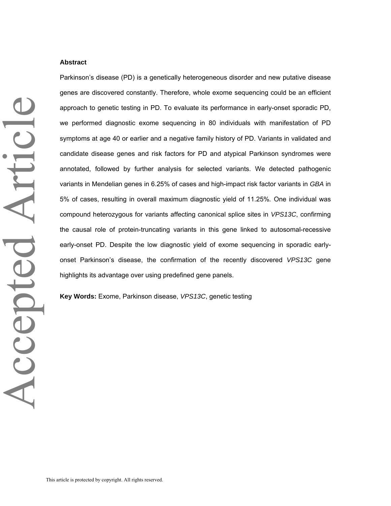#### **Abstract**

Parkinson's disease (PD) is a genetically heterogeneous disorder and new putative disease genes are discovered constantly. Therefore, whole exome sequencing could be an efficient approach to genetic testing in PD. To evaluate its performance in early-onset sporadic PD, we performed diagnostic exome sequencing in 80 individuals with manifestation of PD symptoms at age 40 or earlier and a negative family history of PD. Variants in validated and candidate disease genes and risk factors for PD and atypical Parkinson syndromes were annotated, followed by further analysis for selected variants. We detected pathogenic variants in Mendelian genes in 6.25% of cases and high-impact risk factor variants in *GBA* in 5% of cases, resulting in overall maximum diagnostic yield of 11.25%*.* One individual was compound heterozygous for variants affecting canonical splice sites in *VPS13C*, confirming the causal role of protein-truncating variants in this gene linked to autosomal-recessive early-onset PD. Despite the low diagnostic yield of exome sequencing in sporadic earlyonset Parkinson's disease, the confirmation of the recently discovered *VPS13C* gene highlights its advantage over using predefined gene panels.

**Key Words:** Exome, Parkinson disease, *VPS13C*, genetic testing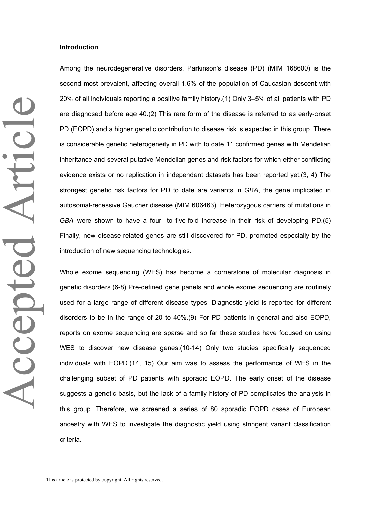#### **Introduction**

Among the neurodegenerative disorders, Parkinson's disease (PD) (MIM 168600) is the second most prevalent, affecting overall 1.6% of the population of Caucasian descent with 20% of all individuals reporting a positive family history.(1) Only 3–5% of all patients with PD are diagnosed before age 40.(2) This rare form of the disease is referred to as early-onset PD (EOPD) and a higher genetic contribution to disease risk is expected in this group. There is considerable genetic heterogeneity in PD with to date 11 confirmed genes with Mendelian inheritance and several putative Mendelian genes and risk factors for which either conflicting evidence exists or no replication in independent datasets has been reported yet.(3, 4) The strongest genetic risk factors for PD to date are variants in *GBA*, the gene implicated in autosomal-recessive Gaucher disease (MIM 606463). Heterozygous carriers of mutations in *GBA* were shown to have a four- to five-fold increase in their risk of developing PD.(5) Finally, new disease-related genes are still discovered for PD, promoted especially by the introduction of new sequencing technologies.

Whole exome sequencing (WES) has become a cornerstone of molecular diagnosis in genetic disorders.(6-8) Pre-defined gene panels and whole exome sequencing are routinely used for a large range of different disease types. Diagnostic yield is reported for different disorders to be in the range of 20 to 40%.(9) For PD patients in general and also EOPD, reports on exome sequencing are sparse and so far these studies have focused on using WES to discover new disease genes.(10-14) Only two studies specifically sequenced individuals with EOPD.(14, 15) Our aim was to assess the performance of WES in the challenging subset of PD patients with sporadic EOPD. The early onset of the disease suggests a genetic basis, but the lack of a family history of PD complicates the analysis in this group. Therefore, we screened a series of 80 sporadic EOPD cases of European ancestry with WES to investigate the diagnostic yield using stringent variant classification criteria.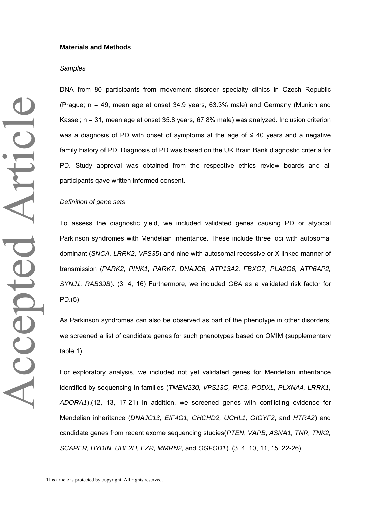#### **Materials and Methods**

#### *Samples*

DNA from 80 participants from movement disorder specialty clinics in Czech Republic (Prague; n = 49, mean age at onset 34.9 years, 63.3% male) and Germany (Munich and Kassel; n = 31, mean age at onset 35.8 years, 67.8% male) was analyzed. Inclusion criterion was a diagnosis of PD with onset of symptoms at the age of  $\leq 40$  years and a negative family history of PD. Diagnosis of PD was based on the UK Brain Bank diagnostic criteria for PD. Study approval was obtained from the respective ethics review boards and all participants gave written informed consent.

#### *Definition of gene sets*

To assess the diagnostic yield, we included validated genes causing PD or atypical Parkinson syndromes with Mendelian inheritance. These include three loci with autosomal dominant (*SNCA, LRRK2, VPS35*) and nine with autosomal recessive or X-linked manner of transmission (*PARK2, PINK1, PARK7, DNAJC6, ATP13A2, FBXO7, PLA2G6, ATP6AP2, SYNJ1, RAB39B*). (3, 4, 16) Furthermore, we included *GBA* as a validated risk factor for PD.(5)

As Parkinson syndromes can also be observed as part of the phenotype in other disorders, we screened a list of candidate genes for such phenotypes based on OMIM (supplementary table 1).

For exploratory analysis, we included not yet validated genes for Mendelian inheritance identified by sequencing in families (*TMEM230, VPS13C, RIC3, PODXL, PLXNA4, LRRK1, ADORA1*).(12, 13, 17-21) In addition, we screened genes with conflicting evidence for Mendelian inheritance (*DNAJC13, EIF4G1, CHCHD2, UCHL1, GIGYF2*, and *HTRA2*) and candidate genes from recent exome sequencing studies(*PTEN*, *VAPB*, *ASNA1, TNR, TNK2, SCAPER, HYDIN, UBE2H, EZR, MMRN2,* and *OGFOD1*)*.* (3, 4, 10, 11, 15, 22-26)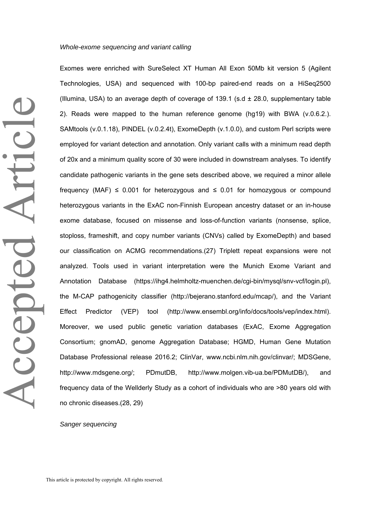#### *Whole-exome sequencing and variant calling*

Exomes were enriched with SureSelect XT Human All Exon 50Mb kit version 5 (Agilent Technologies, USA) and sequenced with 100-bp paired-end reads on a HiSeq2500 (Illumina, USA) to an average depth of coverage of 139.1 (s.d  $\pm$  28.0, supplementary table 2). Reads were mapped to the human reference genome (hg19) with BWA (v.0.6.2.). SAMtools (v.0.1.18), PINDEL (v.0.2.4t), ExomeDepth (v.1.0.0), and custom Perl scripts were employed for variant detection and annotation. Only variant calls with a minimum read depth of 20x and a minimum quality score of 30 were included in downstream analyses. To identify candidate pathogenic variants in the gene sets described above, we required a minor allele frequency (MAF)  $\leq$  0.001 for heterozygous and  $\leq$  0.01 for homozygous or compound heterozygous variants in the ExAC non-Finnish European ancestry dataset or an in-house exome database, focused on missense and loss-of-function variants (nonsense, splice, stoploss, frameshift, and copy number variants (CNVs) called by ExomeDepth) and based our classification on ACMG recommendations.(27) Triplett repeat expansions were not analyzed. Tools used in variant interpretation were the Munich Exome Variant and Annotation Database (https://ihg4.helmholtz-muenchen.de/cgi-bin/mysql/snv-vcf/login.pl), the M-CAP pathogenicity classifier (http://bejerano.stanford.edu/mcap/), and the Variant Effect Predictor (VEP) tool (http://www.ensembl.org/info/docs/tools/vep/index.html). Moreover, we used public genetic variation databases (ExAC, Exome Aggregation Consortium; gnomAD, genome Aggregation Database; HGMD, Human Gene Mutation Database Professional release 2016.2; ClinVar, www.ncbi.nlm.nih.gov/clinvar/; MDSGene, http://www.mdsgene.org/; PDmutDB, http://www.molgen.vib-ua.be/PDMutDB/), and frequency data of the Wellderly Study as a cohort of individuals who are >80 years old with no chronic diseases.(28, 29)

#### *Sanger sequencing*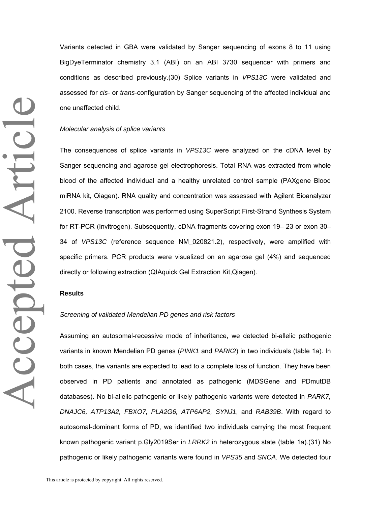Variants detected in GBA were validated by Sanger sequencing of exons 8 to 11 using BigDyeTerminator chemistry 3.1 (ABI) on an ABI 3730 sequencer with primers and conditions as described previously.(30) Splice variants in *VPS13C* were validated and assessed for *cis-* or *trans*-configuration by Sanger sequencing of the affected individual and one unaffected child.

### *Molecular analysis of splice variants*

The consequences of splice variants in *VPS13C* were analyzed on the cDNA level by Sanger sequencing and agarose gel electrophoresis. Total RNA was extracted from whole blood of the affected individual and a healthy unrelated control sample (PAXgene Blood miRNA kit, Qiagen). RNA quality and concentration was assessed with Agilent Bioanalyzer 2100. Reverse transcription was performed using SuperScript First-Strand Synthesis System for RT-PCR (Invitrogen). Subsequently, cDNA fragments covering exon 19– 23 or exon 30– 34 of *VPS13C* (reference sequence NM\_020821.2), respectively, were amplified with specific primers. PCR products were visualized on an agarose gel (4%) and sequenced directly or following extraction (QIAquick Gel Extraction Kit,Qiagen).

#### **Results**

#### *Screening of validated Mendelian PD genes and risk factors*

Assuming an autosomal-recessive mode of inheritance, we detected bi-allelic pathogenic variants in known Mendelian PD genes (*PINK1* and *PARK2*) in two individuals (table 1a). In both cases, the variants are expected to lead to a complete loss of function. They have been observed in PD patients and annotated as pathogenic (MDSGene and PDmutDB databases). No bi-allelic pathogenic or likely pathogenic variants were detected in *PARK7, DNAJC6, ATP13A2, FBXO7, PLA2G6, ATP6AP2, SYNJ1*, and *RAB39B*. With regard to autosomal-dominant forms of PD, we identified two individuals carrying the most frequent known pathogenic variant p.Gly2019Ser in *LRRK2* in heterozygous state (table 1a).(31) No pathogenic or likely pathogenic variants were found in *VPS35* and *SNCA*. We detected four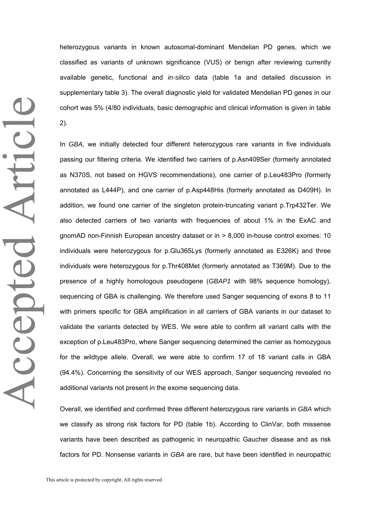Accepted Article Accepted Article heterozygous variants in known autosomal-dominant Mendelian PD genes, which we classified as variants of unknown significance (VUS) or benign after reviewing currently available genetic, functional and *in-silico* data (table 1a and detailed discussion in supplementary table 3). The overall diagnostic yield for validated Mendelian PD genes in our cohort was 5% (4/80 individuals, basic demographic and clinical information is given in table 2).

In *GBA,* we initially detected four different heterozygous rare variants in five individuals passing our filtering criteria. We identified two carriers of p.Asn409Ser (formerly annotated as N370S, not based on HGVS recommendations), one carrier of p.Leu483Pro (formerly annotated as L444P), and one carrier of p.Asp448His (formerly annotated as D409H). In addition, we found one carrier of the singleton protein-truncating variant p.Trp432Ter. We also detected carriers of two variants with frequencies of about 1% in the ExAC and gnomAD non-Finnish European ancestry dataset or in > 8,000 in-house control exomes: 10 individuals were heterozygous for p.Glu365Lys (formerly annotated as E326K) and three individuals were heterozygous for p.Thr408Met (formerly annotated as T369M). Due to the presence of a highly homologous pseudogene (*GBAP1* with 98% sequence homology), sequencing of GBA is challenging. We therefore used Sanger sequencing of exons 8 to 11 with primers specific for GBA amplification in all carriers of GBA variants in our dataset to validate the variants detected by WES. We were able to confirm all variant calls with the exception of p.Leu483Pro, where Sanger sequencing determined the carrier as homozygous for the wildtype allele. Overall, we were able to confirm 17 of 18 variant calls in GBA (94.4%). Concerning the sensitivity of our WES approach, Sanger sequencing revealed no additional variants not present in the exome sequencing data.

Overall, we identified and confirmed three different heterozygous rare variants in *GBA* which we classify as strong risk factors for PD (table 1b). According to ClinVar, both missense variants have been described as pathogenic in neuropathic Gaucher disease and as risk factors for PD. Nonsense variants in *GBA* are rare, but have been identified in neuropathic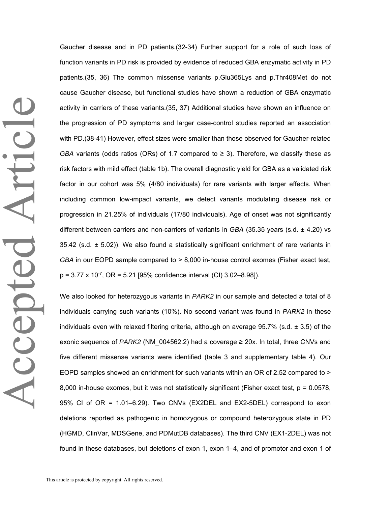Gaucher disease and in PD patients.(32-34) Further support for a role of such loss of function variants in PD risk is provided by evidence of reduced GBA enzymatic activity in PD patients.(35, 36) The common missense variants p.Glu365Lys and p.Thr408Met do not cause Gaucher disease, but functional studies have shown a reduction of GBA enzymatic activity in carriers of these variants.(35, 37) Additional studies have shown an influence on the progression of PD symptoms and larger case-control studies reported an association with PD.(38-41) However, effect sizes were smaller than those observed for Gaucher-related *GBA* variants (odds ratios (ORs) of 1.7 compared to  $\geq$  3). Therefore, we classify these as risk factors with mild effect (table 1b). The overall diagnostic yield for GBA as a validated risk factor in our cohort was 5% (4/80 individuals) for rare variants with larger effects. When including common low-impact variants, we detect variants modulating disease risk or progression in 21.25% of individuals (17/80 individuals). Age of onset was not significantly different between carriers and non-carriers of variants in *GBA* (35.35 years (s.d. ± 4.20) vs  $35.42$  (s.d.  $\pm$  5.02)). We also found a statistically significant enrichment of rare variants in *GBA* in our EOPD sample compared to > 8,000 in-house control exomes (Fisher exact test,  $p = 3.77 \times 10^{-7}$ , OR = 5.21 [95% confidence interval (CI) 3.02–8.98]).

We also looked for heterozygous variants in *PARK2* in our sample and detected a total of 8 individuals carrying such variants (10%). No second variant was found in *PARK2* in these individuals even with relaxed filtering criteria, although on average  $95.7\%$  (s.d.  $\pm 3.5$ ) of the exonic sequence of *PARK2* (NM  $004562.2$ ) had a coverage  $\geq 20x$ . In total, three CNVs and five different missense variants were identified (table 3 and supplementary table 4). Our EOPD samples showed an enrichment for such variants within an OR of 2.52 compared to > 8,000 in-house exomes, but it was not statistically significant (Fisher exact test, p = 0.0578, 95% CI of OR = 1.01–6.29). Two CNVs (EX2DEL and EX2-5DEL) correspond to exon deletions reported as pathogenic in homozygous or compound heterozygous state in PD (HGMD, ClinVar, MDSGene, and PDMutDB databases). The third CNV (EX1-2DEL) was not found in these databases, but deletions of exon 1, exon 1–4, and of promotor and exon 1 of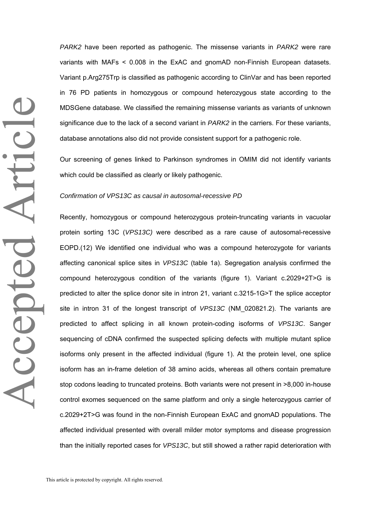*PARK2* have been reported as pathogenic. The missense variants in *PARK2* were rare variants with MAFs < 0.008 in the ExAC and gnomAD non-Finnish European datasets. Variant p.Arg275Trp is classified as pathogenic according to ClinVar and has been reported in 76 PD patients in homozygous or compound heterozygous state according to the MDSGene database. We classified the remaining missense variants as variants of unknown significance due to the lack of a second variant in *PARK2* in the carriers. For these variants, database annotations also did not provide consistent support for a pathogenic role.

Our screening of genes linked to Parkinson syndromes in OMIM did not identify variants which could be classified as clearly or likely pathogenic.

#### *Confirmation of VPS13C as causal in autosomal-recessive PD*

Recently, homozygous or compound heterozygous protein-truncating variants in vacuolar protein sorting 13C (*VPS13C)* were described as a rare cause of autosomal-recessive EOPD.(12) We identified one individual who was a compound heterozygote for variants affecting canonical splice sites in *VPS13C* (table 1a). Segregation analysis confirmed the compound heterozygous condition of the variants (figure 1). Variant c.2029+2T>G is predicted to alter the splice donor site in intron 21, variant c.3215-1G>T the splice acceptor site in intron 31 of the longest transcript of *VPS13C* (NM\_020821.2). The variants are predicted to affect splicing in all known protein-coding isoforms of *VPS13C*. Sanger sequencing of cDNA confirmed the suspected splicing defects with multiple mutant splice isoforms only present in the affected individual (figure 1). At the protein level, one splice isoform has an in-frame deletion of 38 amino acids, whereas all others contain premature stop codons leading to truncated proteins. Both variants were not present in >8,000 in-house control exomes sequenced on the same platform and only a single heterozygous carrier of c.2029+2T>G was found in the non-Finnish European ExAC and gnomAD populations. The affected individual presented with overall milder motor symptoms and disease progression than the initially reported cases for *VPS13C*, but still showed a rather rapid deterioration with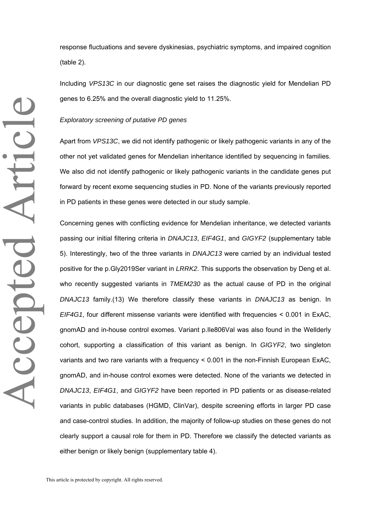response fluctuations and severe dyskinesias, psychiatric symptoms, and impaired cognition (table 2).

Including *VPS13C* in our diagnostic gene set raises the diagnostic yield for Mendelian PD genes to 6.25% and the overall diagnostic yield to 11.25%.

#### *Exploratory screening of putative PD genes*

Apart from *VPS13C*, we did not identify pathogenic or likely pathogenic variants in any of the other not yet validated genes for Mendelian inheritance identified by sequencing in families. We also did not identify pathogenic or likely pathogenic variants in the candidate genes put forward by recent exome sequencing studies in PD. None of the variants previously reported in PD patients in these genes were detected in our study sample.

Concerning genes with conflicting evidence for Mendelian inheritance, we detected variants passing our initial filtering criteria in *DNAJC13*, *EIF4G1*, and *GIGYF2* (supplementary table 5). Interestingly, two of the three variants in *DNAJC13* were carried by an individual tested positive for the p.Gly2019Ser variant in *LRRK2*. This supports the observation by Deng et al. who recently suggested variants in *TMEM230* as the actual cause of PD in the original *DNAJC13* family.(13) We therefore classify these variants in *DNAJC13* as benign. In *EIF4G1*, four different missense variants were identified with frequencies < 0.001 in ExAC, gnomAD and in-house control exomes. Variant p.Ile806Val was also found in the Wellderly cohort, supporting a classification of this variant as benign. In *GIGYF2*, two singleton variants and two rare variants with a frequency < 0.001 in the non-Finnish European ExAC, gnomAD, and in-house control exomes were detected. None of the variants we detected in *DNAJC13*, *EIF4G1*, and *GIGYF2* have been reported in PD patients or as disease-related variants in public databases (HGMD, ClinVar), despite screening efforts in larger PD case and case-control studies. In addition, the majority of follow-up studies on these genes do not clearly support a causal role for them in PD. Therefore we classify the detected variants as either benign or likely benign (supplementary table 4).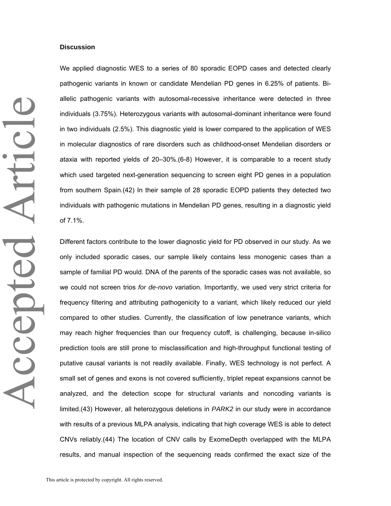#### **Discussion**

We applied diagnostic WES to a series of 80 sporadic EOPD cases and detected clearly pathogenic variants in known or candidate Mendelian PD genes in 6.25% of patients. Biallelic pathogenic variants with autosomal-recessive inheritance were detected in three individuals (3.75%). Heterozygous variants with autosomal-dominant inheritance were found in two individuals (2.5%). This diagnostic yield is lower compared to the application of WES in molecular diagnostics of rare disorders such as childhood-onset Mendelian disorders or ataxia with reported yields of 20–30%.(6-8) However, it is comparable to a recent study which used targeted next-generation sequencing to screen eight PD genes in a population from southern Spain.(42) In their sample of 28 sporadic EOPD patients they detected two individuals with pathogenic mutations in Mendelian PD genes, resulting in a diagnostic yield of 7.1%.

Different factors contribute to the lower diagnostic yield for PD observed in our study. As we only included sporadic cases, our sample likely contains less monogenic cases than a sample of familial PD would. DNA of the parents of the sporadic cases was not available, so we could not screen trios *for de-novo* variation. Importantly, we used very strict criteria for frequency filtering and attributing pathogenicity to a variant, which likely reduced our yield compared to other studies. Currently, the classification of low penetrance variants, which may reach higher frequencies than our frequency cutoff, is challenging, because in-silico prediction tools are still prone to misclassification and high-throughput functional testing of putative causal variants is not readily available. Finally, WES technology is not perfect. A small set of genes and exons is not covered sufficiently, triplet repeat expansions cannot be analyzed, and the detection scope for structural variants and noncoding variants is limited.(43) However, all heterozygous deletions in *PARK2* in our study were in accordance with results of a previous MLPA analysis, indicating that high coverage WES is able to detect CNVs reliably.(44) The location of CNV calls by ExomeDepth overlapped with the MLPA results, and manual inspection of the sequencing reads confirmed the exact size of the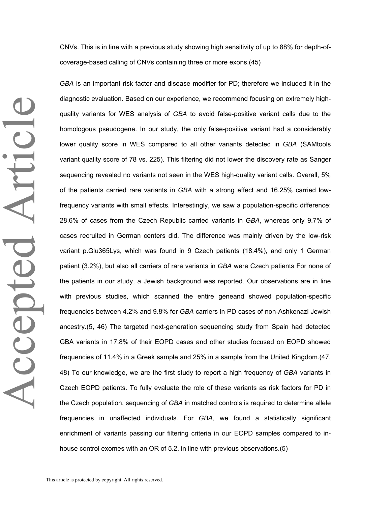CNVs. This is in line with a previous study showing high sensitivity of up to 88% for depth-ofcoverage-based calling of CNVs containing three or more exons.(45)

*GBA* is an important risk factor and disease modifier for PD; therefore we included it in the diagnostic evaluation. Based on our experience, we recommend focusing on extremely highquality variants for WES analysis of *GBA* to avoid false-positive variant calls due to the homologous pseudogene. In our study, the only false-positive variant had a considerably lower quality score in WES compared to all other variants detected in *GBA* (SAMtools variant quality score of 78 vs. 225). This filtering did not lower the discovery rate as Sanger sequencing revealed no variants not seen in the WES high-quality variant calls. Overall, 5% of the patients carried rare variants in *GBA* with a strong effect and 16.25% carried lowfrequency variants with small effects. Interestingly, we saw a population-specific difference: 28.6% of cases from the Czech Republic carried variants in *GBA*, whereas only 9.7% of cases recruited in German centers did. The difference was mainly driven by the low-risk variant p.Glu365Lys, which was found in 9 Czech patients (18.4%), and only 1 German patient (3.2%), but also all carriers of rare variants in *GBA* were Czech patients For none of the patients in our study, a Jewish background was reported. Our observations are in line with previous studies, which scanned the entire geneand showed population-specific frequencies between 4.2% and 9.8% for *GBA* carriers in PD cases of non-Ashkenazi Jewish ancestry.(5, 46) The targeted next-generation sequencing study from Spain had detected GBA variants in 17.8% of their EOPD cases and other studies focused on EOPD showed frequencies of 11.4% in a Greek sample and 25% in a sample from the United Kingdom.(47, 48) To our knowledge, we are the first study to report a high frequency of *GBA* variants in Czech EOPD patients. To fully evaluate the role of these variants as risk factors for PD in the Czech population, sequencing of *GBA* in matched controls is required to determine allele frequencies in unaffected individuals. For *GBA*, we found a statistically significant enrichment of variants passing our filtering criteria in our EOPD samples compared to inhouse control exomes with an OR of 5.2, in line with previous observations.(5)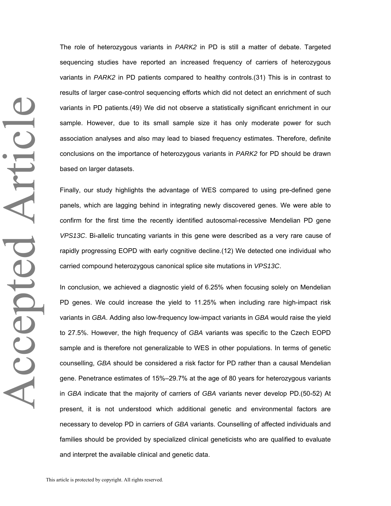Accepted Article Accepted Article The role of heterozygous variants in *PARK2* in PD is still a matter of debate. Targeted sequencing studies have reported an increased frequency of carriers of heterozygous variants in *PARK2* in PD patients compared to healthy controls.(31) This is in contrast to results of larger case-control sequencing efforts which did not detect an enrichment of such variants in PD patients.(49) We did not observe a statistically significant enrichment in our sample. However, due to its small sample size it has only moderate power for such association analyses and also may lead to biased frequency estimates. Therefore, definite conclusions on the importance of heterozygous variants in *PARK2* for PD should be drawn based on larger datasets.

Finally, our study highlights the advantage of WES compared to using pre-defined gene panels, which are lagging behind in integrating newly discovered genes. We were able to confirm for the first time the recently identified autosomal-recessive Mendelian PD gene *VPS13C*. Bi-allelic truncating variants in this gene were described as a very rare cause of rapidly progressing EOPD with early cognitive decline.(12) We detected one individual who carried compound heterozygous canonical splice site mutations in *VPS13C*.

In conclusion, we achieved a diagnostic yield of 6.25% when focusing solely on Mendelian PD genes. We could increase the yield to 11.25% when including rare high-impact risk variants in *GBA*. Adding also low-frequency low-impact variants in *GBA* would raise the yield to 27.5%. However, the high frequency of *GBA* variants was specific to the Czech EOPD sample and is therefore not generalizable to WES in other populations. In terms of genetic counselling, *GBA* should be considered a risk factor for PD rather than a causal Mendelian gene. Penetrance estimates of 15%–29.7% at the age of 80 years for heterozygous variants in *GBA* indicate that the majority of carriers of *GBA* variants never develop PD.(50-52) At present, it is not understood which additional genetic and environmental factors are necessary to develop PD in carriers of *GBA* variants. Counselling of affected individuals and families should be provided by specialized clinical geneticists who are qualified to evaluate and interpret the available clinical and genetic data.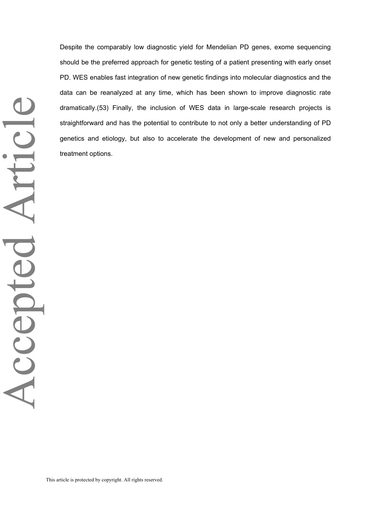Despite the comparably low diagnostic yield for Mendelian PD genes, exome sequencing should be the preferred approach for genetic testing of a patient presenting with early onset PD. WES enables fast integration of new genetic findings into molecular diagnostics and the data can be reanalyzed at any time, which has been shown to improve diagnostic rate dramatically.(53) Finally, the inclusion of WES data in large-scale research projects is straightforward and has the potential to contribute to not only a better understanding of PD genetics and etiology, but also to accelerate the development of new and personalized treatment options.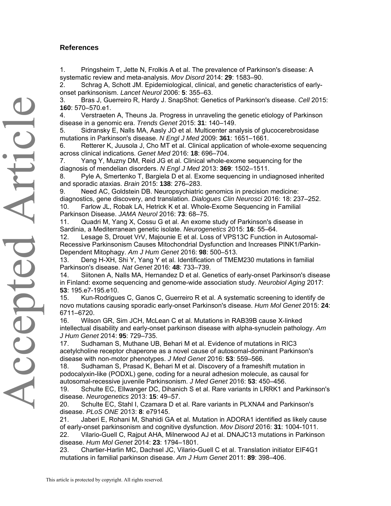## **References**

1. Pringsheim T, Jette N, Frolkis A et al. The prevalence of Parkinson's disease: A systematic review and meta-analysis. *Mov Disord* 2014: **29**: 1583–90.

2. Schrag A, Schott JM. Epidemiological, clinical, and genetic characteristics of earlyonset parkinsonism. *Lancet Neurol* 2006: **5**: 355–63.

3. Bras J, Guerreiro R, Hardy J. SnapShot: Genetics of Parkinson's disease. *Cell* 2015: **160**: 570–570.e1.

4. Verstraeten A, Theuns Ja. Progress in unraveling the genetic etiology of Parkinson disease in a genomic era. *Trends Genet* 2015: **31**: 140–149.

5. Sidransky E, Nalls MA, Aasly JO et al. Multicenter analysis of glucocerebrosidase mutations in Parkinson's disease. *N Engl J Med* 2009: **361**: 1651–1661.

6. Retterer K, Juusola J, Cho MT et al. Clinical application of whole-exome sequencing across clinical indications. *Genet Med* 2016: **18**: 696–704.

7. Yang Y, Muzny DM, Reid JG et al. Clinical whole-exome sequencing for the diagnosis of mendelian disorders. *N Engl J Med* 2013: **369**: 1502–1511.

8. Pyle A, Smertenko T, Bargiela D et al. Exome sequencing in undiagnosed inherited and sporadic ataxias. *Brain* 2015: **138**: 276–283.

9. Need AC, Goldstein DB. Neuropsychiatric genomics in precision medicine: diagnostics, gene discovery, and translation. *Dialogues Clin Neurosci* 2016: 18: 237–252. 10. Farlow JL, Robak LA, Hetrick K et al. Whole-Exome Sequencing in Familial

Parkinson Disease. *JAMA Neurol* 2016: **73**: 68–75.

11. Quadri M, Yang X, Cossu G et al. An exome study of Parkinson's disease in Sardinia, a Mediterranean genetic isolate. *Neurogenetics* 2015: **16**: 55–64.

12. Lesage S, Drouet VrV, Majounie E et al. Loss of VPS13C Function in Autosomal-Recessive Parkinsonism Causes Mitochondrial Dysfunction and Increases PINK1/Parkin-Dependent Mitophagy. *Am J Hum Genet* 2016: **98**: 500–513.

13. Deng H-XH, Shi Y, Yang Y et al. Identification of TMEM230 mutations in familial Parkinson's disease. *Nat Genet* 2016: **48**: 733–739.

14. Siitonen A, Nalls MA, Hernandez D et al. Genetics of early-onset Parkinson's disease in Finland: exome sequencing and genome-wide association study. *Neurobiol Aging* 2017: **53**: 195.e7-195.e10.

15. Kun-Rodrigues C, Ganos C, Guerreiro R et al. A systematic screening to identify de novo mutations causing sporadic early-onset Parkinson's disease. *Hum Mol Genet* 2015: **24**: 6711–6720.

16. Wilson GR, Sim JCH, McLean C et al. Mutations in RAB39B cause X-linked intellectual disability and early-onset parkinson disease with alpha-synuclein pathology. *Am J Hum Genet* 2014: **95**: 729–735.

17. Sudhaman S, Muthane UB, Behari M et al. Evidence of mutations in RIC3 acetylcholine receptor chaperone as a novel cause of autosomal-dominant Parkinson's disease with non-motor phenotypes. *J Med Genet* 2016: **53**: 559–566.

18. Sudhaman S, Prasad K, Behari M et al. Discovery of a frameshift mutation in podocalyxin-like (PODXL) gene, coding for a neural adhesion molecule, as causal for autosomal-recessive juvenile Parkinsonism. *J Med Genet* 2016: **53**: 450–456.

19. Schulte EC, Ellwanger DC, Dihanich S et al. Rare variants in LRRK1 and Parkinson's disease. *Neurogenetics* 2013: **15**: 49–57.

20. Schulte EC, Stahl I, Czamara D et al. Rare variants in PLXNA4 and Parkinson's disease. *PLoS ONE* 2013: **8**: e79145.

21. Jaberi E, Rohani M, Shahidi GA et al. Mutation in ADORA1 identified as likely cause of early-onset parkinsonism and cognitive dysfunction. *Mov Disord* 2016: **31**: 1004-1011. 22. Vilario-Guell C, Rajput AHA, Milnerwood AJ et al. DNAJC13 mutations in Parkinson disease. *Hum Mol Genet* 2014: **23**: 1794–1801.

23. Chartier-Harlin MC, Dachsel JC, Vilario-Guell C et al. Translation initiator EIF4G1 mutations in familial parkinson disease. *Am J Hum Genet* 2011: **89**: 398–406.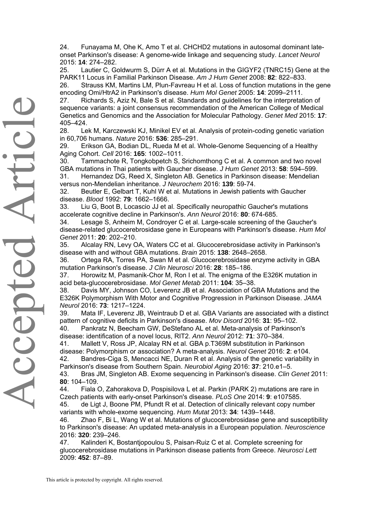24. Funayama M, Ohe K, Amo T et al. CHCHD2 mutations in autosomal dominant lateonset Parkinson's disease: A genome-wide linkage and sequencing study. *Lancet Neurol*  2015: **14**: 274–282.

25. Lautier C, Goldwurm S, Dürr A et al. Mutations in the GIGYF2 (TNRC15) Gene at the PARK11 Locus in Familial Parkinson Disease. *Am J Hum Genet* 2008: **82**: 822–833.

26. Strauss KM, Martins LM, Plun-Favreau H et al. Loss of function mutations in the gene encoding Omi/HtrA2 in Parkinson's disease. *Hum Mol Genet* 2005: **14**: 2099–2111.

27. Richards S, Aziz N, Bale S et al. Standards and guidelines for the interpretation of sequence variants: a joint consensus recommendation of the American College of Medical Genetics and Genomics and the Association for Molecular Pathology. *Genet Med* 2015: **17**: 405–424.

28. Lek M, Karczewski KJ, Minikel EV et al. Analysis of protein-coding genetic variation in 60,706 humans. *Nature* 2016: **536**: 285–291.

29. Erikson GA, Bodian DL, Rueda M et al. Whole-Genome Sequencing of a Healthy Aging Cohort. *Cell* 2016: **165**: 1002–1011.

30. Tammachote R, Tongkobpetch S, Srichomthong C et al. A common and two novel GBA mutations in Thai patients with Gaucher disease. *J Hum Genet* 2013: **58**: 594–599.

31. Hernandez DG, Reed X, Singleton AB. Genetics in Parkinson disease: Mendelian versus non-Mendelian inheritance. *J Neurochem* 2016: **139**: 59-74.

32. Beutler E, Gelbart T, Kuhl W et al. Mutations in Jewish patients with Gaucher disease. *Blood* 1992: **79**: 1662–1666.

33. Liu G, Boot B, Locascio JJ et al. Specifically neuropathic Gaucher's mutations accelerate cognitive decline in Parkinson's. *Ann Neurol* 2016: **80**: 674-685.

34. Lesage S, Anheim M, Condroyer C et al. Large-scale screening of the Gaucher's disease-related glucocerebrosidase gene in Europeans with Parkinson's disease. *Hum Mol Genet* 2011: **20**: 202–210.

35. Alcalay RN, Levy OA, Waters CC et al. Glucocerebrosidase activity in Parkinson's disease with and without GBA mutations. *Brain* 2015: **138**: 2648–2658.

36. Ortega RA, Torres PA, Swan M et al. Glucocerebrosidase enzyme activity in GBA mutation Parkinson's disease. *J Clin Neurosci* 2016: **28**: 185–186.

37. Horowitz M, Pasmanik-Chor M, Ron I et al. The enigma of the E326K mutation in acid beta-glucocerebrosidase. *Mol Genet Metab* 2011: **104**: 35–38.

38. Davis MY, Johnson CO, Leverenz JB et al. Association of GBA Mutations and the E326K Polymorphism With Motor and Cognitive Progression in Parkinson Disease. *JAMA Neurol* 2016: **73**: 1217–1224.

39. Mata IF, Leverenz JB, Weintraub D et al. GBA Variants are associated with a distinct pattern of cognitive deficits in Parkinson's disease. *Mov Disord* 2016: **31**: 95–102.

40. Pankratz N, Beecham GW, DeStefano AL et al. Meta-analysis of Parkinson's disease: identification of a novel locus, RIT2. *Ann Neurol* 2012: **71**: 370–384.

41. Mallett V, Ross JP, Alcalay RN et al. GBA p.T369M substitution in Parkinson disease: Polymorphism or association? A meta-analysis. *Neurol Genet* 2016: **2**: e104. 42. Bandres-Ciga S, Mencacci NE, Duran R et al. Analysis of the genetic variability in

Parkinson's disease from Southern Spain. *Neurobiol Aging* 2016: **37**: 210.e1–5.

43. Bras JM, Singleton AB. Exome sequencing in Parkinson's disease. *Clin Genet* 2011: **80**: 104–109.

44. Fiala O, Zahorakova D, Pospisilova L et al. Parkin (PARK 2) mutations are rare in Czech patients with early-onset Parkinson's disease. *PLoS One* 2014: **9**: e107585.

45. de Ligt J, Boone PM, Pfundt R et al. Detection of clinically relevant copy number variants with whole-exome sequencing. *Hum Mutat* 2013: **34**: 1439–1448.

46. Zhao F, Bi L, Wang W et al. Mutations of glucocerebrosidase gene and susceptibility to Parkinson's disease: An updated meta-analysis in a European population. *Neuroscience* 2016: **320**: 239–246.

47. Kalinderi K, Bostantjopoulou S, Paisan-Ruiz C et al. Complete screening for glucocerebrosidase mutations in Parkinson disease patients from Greece. *Neurosci Lett* 2009: **452**: 87–89.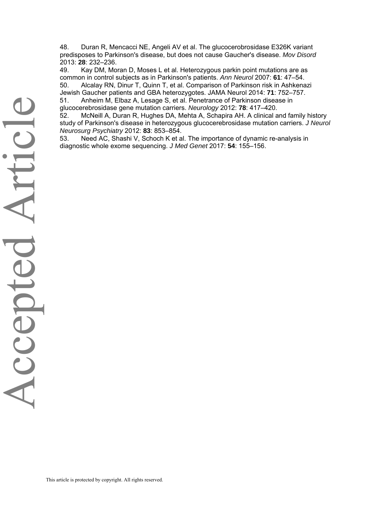48. Duran R, Mencacci NE, Angeli AV et al. The glucocerobrosidase E326K variant predisposes to Parkinson's disease, but does not cause Gaucher's disease. *Mov Disord* 2013: **28**: 232–236.

49. Kay DM, Moran D, Moses L et al. Heterozygous parkin point mutations are as common in control subjects as in Parkinson's patients. *Ann Neurol* 2007: **61**: 47–54. 50. Alcalay RN, Dinur T, Quinn T, et al. Comparison of Parkinson risk in Ashkenazi Jewish Gaucher patients and GBA heterozygotes. JAMA Neurol 2014: **71**: 752–757.

51. Anheim M, Elbaz A, Lesage S, et al. Penetrance of Parkinson disease in glucocerebrosidase gene mutation carriers. *Neurology* 2012: **78**: 417–420.

52. McNeill A, Duran R, Hughes DA, Mehta A, Schapira AH. A clinical and family history study of Parkinson's disease in heterozygous glucocerebrosidase mutation carriers. *J Neurol Neurosurg Psychiatry* 2012: **83**: 853–854.

53. Need AC, Shashi V, Schoch K et al. The importance of dynamic re-analysis in diagnostic whole exome sequencing. *J Med Genet* 2017: **54**: 155–156.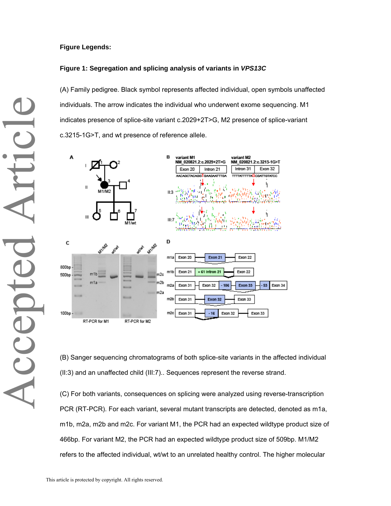#### **Figure Legends:**

#### **Figure 1: Segregation and splicing analysis of variants in** *VPS13C*

(A) Family pedigree. Black symbol represents affected individual, open symbols unaffected individuals. The arrow indicates the individual who underwent exome sequencing. M1 indicates presence of splice-site variant c.2029+2T>G, M2 presence of splice-variant c.3215-1G>T, and wt presence of reference allele.



(B) Sanger sequencing chromatograms of both splice-site variants in the affected individual (II:3) and an unaffected child (III:7).. Sequences represent the reverse strand.

(C) For both variants, consequences on splicing were analyzed using reverse-transcription PCR (RT-PCR). For each variant, several mutant transcripts are detected, denoted as m1a, m1b, m2a, m2b and m2c. For variant M1, the PCR had an expected wildtype product size of 466bp. For variant M2, the PCR had an expected wildtype product size of 509bp. M1/M2 refers to the affected individual, wt/wt to an unrelated healthy control. The higher molecular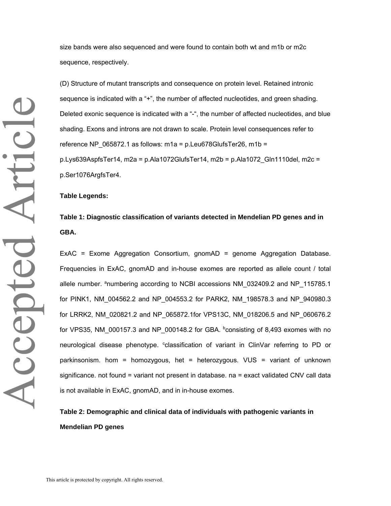size bands were also sequenced and were found to contain both wt and m1b or m2c sequence, respectively.

(D) Structure of mutant transcripts and consequence on protein level. Retained intronic sequence is indicated with a "+", the number of affected nucleotides, and green shading. Deleted exonic sequence is indicated with a "-", the number of affected nucleotides, and blue shading. Exons and introns are not drawn to scale. Protein level consequences refer to reference NP\_065872.1 as follows: m1a = p.Leu678GlufsTer26, m1b =  $p.Lys639AspfsTer14, m2a = p.Ala1072GlufsTer14, m2b = p.Ala1072 Gln1110del, m2c =$ p.Ser1076ArgfsTer4.

#### **Table Legends:**

# **Table 1: Diagnostic classification of variants detected in Mendelian PD genes and in GBA.**

ExAC = Exome Aggregation Consortium, gnomAD = genome Aggregation Database. Frequencies in ExAC, gnomAD and in-house exomes are reported as allele count / total allele number. <sup>a</sup>numbering according to NCBI accessions NM\_032409.2 and NP\_115785.1 for PINK1, NM\_004562.2 and NP\_004553.2 for PARK2, NM\_198578.3 and NP\_940980.3 for LRRK2, NM\_020821.2 and NP\_065872.1for VPS13C, NM\_018206.5 and NP\_060676.2 for VPS35, NM\_000157.3 and NP\_000148.2 for GBA.  $b$ consisting of 8,493 exomes with no neurological disease phenotype. <sup>c</sup>classification of variant in ClinVar referring to PD or parkinsonism. hom = homozygous, het = heterozygous. VUS = variant of unknown significance. not found = variant not present in database. na = exact validated CNV call data is not available in ExAC, gnomAD, and in in-house exomes.

## **Table 2: Demographic and clinical data of individuals with pathogenic variants in Mendelian PD genes**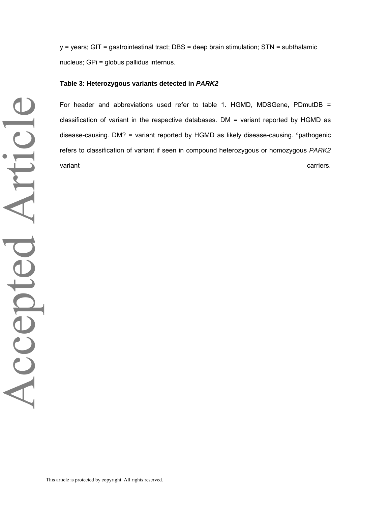y = years; GIT = gastrointestinal tract; DBS = deep brain stimulation; STN = subthalamic nucleus; GPi = globus pallidus internus.

#### **Table 3: Heterozygous variants detected in** *PARK2*

For header and abbreviations used refer to table 1. HGMD, MDSGene, PDmutDB = classification of variant in the respective databases. DM = variant reported by HGMD as disease-causing. DM? = variant reported by HGMD as likely disease-causing.  $d$  pathogenic refers to classification of variant if seen in compound heterozygous or homozygous *PARK2* variant carriers. The carriers of the carriers of the carriers of the carriers of the carriers of the carriers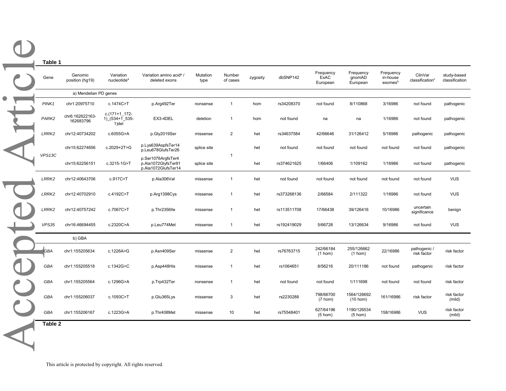| Gene              | Genomic<br>position (hg19)   | Variation<br>nucleotide <sup>a</sup>        | Variation amino acid <sup>a</sup> /<br>deleted exons             | Mutation<br>type | Number<br>of cases | zygosity | dbSNP142    | Frequency<br>ExAC<br>European  | Frequency<br>gnomAD<br>European  | Frequency<br>in-house<br>exomesb | ClinVar<br>classification <sup>c</sup> |
|-------------------|------------------------------|---------------------------------------------|------------------------------------------------------------------|------------------|--------------------|----------|-------------|--------------------------------|----------------------------------|----------------------------------|----------------------------------------|
|                   | a) Mendelian PD genes        |                                             |                                                                  |                  |                    |          |             |                                |                                  |                                  |                                        |
| PINK1             | chr1:20975710                | c.1474C>T                                   | p.Arg492Ter                                                      | nonsense         | $\mathbf{1}$       | hom      | rs34208370  | not found                      | 8/110868                         | 3/16986                          | not found                              |
| PARK2             | chr6:162622163-<br>162683796 | $c.(171+1)$ 172-<br>1) (534+1 535-<br>1)del | EX3-4DEL                                                         | deletion         | $\mathbf{1}$       | hom      | not found   | na                             | na                               | 1/16986                          | not found                              |
| LRRK <sub>2</sub> | chr12:40734202               | c.6055G>A                                   | p.Gly2019Ser                                                     | missense         | $\overline{2}$     | het      | rs34637584  | 42/66646                       | 31/126412                        | 5/16986                          | pathogenic                             |
|                   | chr15:62274656               | c.2029+2T>G                                 | p.Lys639AspfsTer14<br>p.Leu678GlufsTer26                         | splice site      |                    | het      | not found   | not found                      | not found                        | not found                        | not found                              |
| VPS13C            | chr15:62256151               | c.3215-1G>T                                 | p.Ser1076ArgfsTer4<br>p.Ala1072GlyfsTer91<br>p.Ala1072GlufsTer14 | splice site      | $\mathbf{1}$       | het      | rs374621625 | 1/66406                        | 1/109162                         | 1/16986                          | not found                              |
| LRRK2             | chr12:40643706               | c.917C>T                                    | p.Ala306Val                                                      | missense         | $\mathbf{1}$       | het      | not found   | not found                      | not found                        | not found                        | not found                              |
| LRRK2             | chr12:40702910               | c.4192C>T                                   | p.Arg1398Cys                                                     | missense         | $\mathbf{1}$       | het      | rs373268136 | 2/66584                        | 2/111322                         | 1/16986                          | not found                              |
| LRRK2             | chr12:40757242               | c.7067C>T                                   | p.Thr2356lle                                                     | missense         | $\mathbf{1}$       | het      | rs113511708 | 17/66438                       | 39/126416                        | 10/16986                         | uncertain<br>significance              |
| VPS35             | chr16:46694455               | c.2320C>A                                   | p.Leu774Met                                                      | missense         | $\mathbf{1}$       | het      | rs192419029 | 5/66728                        | 13/126634                        | 9/16986                          | not found                              |
|                   | b) GBA                       |                                             |                                                                  |                  |                    |          |             |                                |                                  |                                  |                                        |
| <b>GBA</b>        | chr1:155205634               | c.1226A>G                                   | p.Asn409Ser                                                      | missense         | $\overline{2}$     | het      | rs76763715  | 242/66184<br>$(1$ hom)         | 255/126662<br>$(1$ hom)          | 22/16986                         | pathogenic /<br>risk factor            |
| GBA               | chr1:155205518               | c.1342G>C                                   | p.Asp448His                                                      | missense         | $\mathbf{1}$       | het      | rs1064651   | 8/56216                        | 20/111186                        | not found                        | pathogenic                             |
| GBA               | chr1:155205564               | c.1296G>A                                   | p.Trp432Ter                                                      | nonsense         | $\mathbf{1}$       | het      | not found   | not found                      | 1/111698                         | not found                        | not found                              |
| GBA               | chr1:155206037               | c.1093C>T                                   | p.Glu365Lys                                                      | missense         | 3                  | het      | rs2230288   | 798/66700<br>$(7 \text{ hom})$ | 1564/126692<br>$(10$ hom)        | 161/16986                        | risk factor                            |
| GBA               | chr1:155206167               | c.1223G>A                                   | p.Thr408Met                                                      | missense         | 10                 | het      | rs75548401  | 627/64196<br>$(5 \text{ hom})$ | 1190/126534<br>$(5 \text{ hom})$ | 158/16986                        | <b>VUS</b>                             |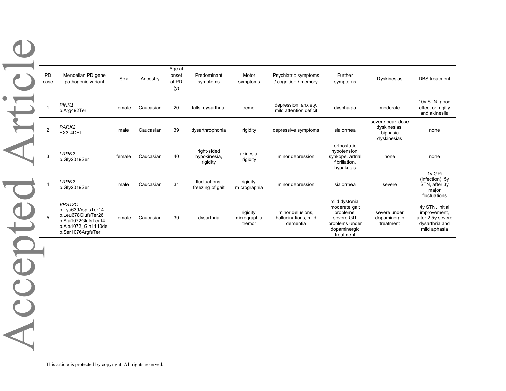|  | PD<br>case                | Mendelian PD gene<br>pathogenic variant                                                                                | Sex    | Ancestry  | Age at<br>onset<br>of PD<br>(y) | Predominant<br>symptoms                 | Motor<br>symptoms                    | Psychiatric symptoms<br>/ cognition / memory         | Further<br>symptoms                                                                                       | Dyskinesias                                                 | DBS treatment                                                                          |
|--|---------------------------|------------------------------------------------------------------------------------------------------------------------|--------|-----------|---------------------------------|-----------------------------------------|--------------------------------------|------------------------------------------------------|-----------------------------------------------------------------------------------------------------------|-------------------------------------------------------------|----------------------------------------------------------------------------------------|
|  | 1                         | PINK1<br>p.Arg492Ter                                                                                                   | female | Caucasian | 20                              | falls, dysarthria,                      | tremor                               | depression, anxiety,<br>mild attention deficit       | dysphagia                                                                                                 | moderate                                                    | 10y STN, good<br>effect on rigitiy<br>and akinesiia                                    |
|  | $\sqrt{2}$                | PARK <sub>2</sub><br>EX3-4DEL                                                                                          | male   | Caucasian | 39                              | dysarthrophonia                         | rigidity                             | depressive symptoms                                  | sialorrhea                                                                                                | severe peak-dose<br>dyskinesias,<br>biphasic<br>dyskinesias | none                                                                                   |
|  | $\ensuremath{\mathsf{3}}$ | LRRK <sub>2</sub><br>p.Gly2019Ser                                                                                      | female | Caucasian | 40                              | right-sided<br>hypokinesia,<br>rigidity | akinesia,<br>rigidity                | minor depression                                     | orthostatic<br>hypotension,<br>synkope, artrial<br>fibrillation,<br>hypakusis                             | none                                                        | none                                                                                   |
|  | 4                         | LRRK <sub>2</sub><br>p.Gly2019Ser                                                                                      | male   | Caucasian | 31                              | fluctuations,<br>freezing of gait       | rigidity,<br>micrographia            | minor depression                                     | sialorrhea                                                                                                | severe                                                      | 1y GPi<br>(infection), 5y<br>STN, after 3y<br>major<br>fluctuations                    |
|  | 5                         | VPS13C<br>p.Lys639AspfsTer14<br>p.Leu678GlufsTer26<br>p.Ala1072GlufsTer14<br>p.Ala1072 Gln1110del<br>p.Ser1076ArgfsTer | female | Caucasian | 39                              | dysarthria                              | rigidity,<br>micrographia,<br>tremor | minor delusions,<br>hallucinations, mild<br>dementia | mild dystonia,<br>moderate gait<br>problems;<br>severe GIT<br>problems under<br>dopaminergic<br>treatment | severe under<br>dopaminergic<br>treatment                   | 4y STN, initial<br>improvement,<br>after 2.5y severe<br>dysarthria and<br>mild aphasia |
|  |                           |                                                                                                                        |        |           |                                 |                                         |                                      |                                                      |                                                                                                           |                                                             |                                                                                        |
|  |                           |                                                                                                                        |        |           |                                 |                                         |                                      |                                                      |                                                                                                           |                                                             |                                                                                        |
|  |                           |                                                                                                                        |        |           |                                 |                                         |                                      |                                                      |                                                                                                           |                                                             |                                                                                        |
|  |                           |                                                                                                                        |        |           |                                 |                                         |                                      |                                                      |                                                                                                           |                                                             |                                                                                        |